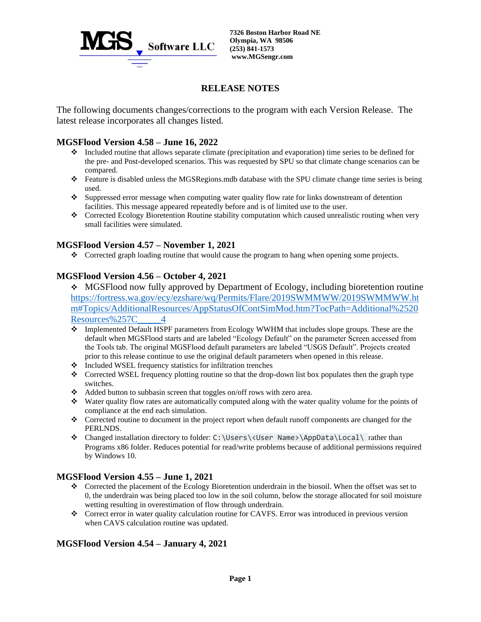

# **RELEASE NOTES**

The following documents changes/corrections to the program with each Version Release. The latest release incorporates all changes listed.

## **MGSFlood Version 4.58 – June 16, 2022**

- ❖ Included routine that allows separate climate (precipitation and evaporation) time series to be defined for the pre- and Post-developed scenarios. This was requested by SPU so that climate change scenarios can be compared.
- ❖ Feature is disabled unless the MGSRegions.mdb database with the SPU climate change time series is being used.
- ❖ Suppressed error message when computing water quality flow rate for links downstream of detention facilities. This message appeared repeatedly before and is of limited use to the user.
- ❖ Corrected Ecology Bioretention Routine stability computation which caused unrealistic routing when very small facilities were simulated.

## **MGSFlood Version 4.57 – November 1, 2021**

❖ Corrected graph loading routine that would cause the program to hang when opening some projects.

## **MGSFlood Version 4.56 – October 4, 2021**

- ❖ MGSFlood now fully approved by Department of Ecology, including bioretention routine [https://fortress.wa.gov/ecy/ezshare/wq/Permits/Flare/2019SWMMWW/2019SWMMWW.ht](https://fortress.wa.gov/ecy/ezshare/wq/Permits/Flare/2019SWMMWW/2019SWMMWW.htm#Topics/AdditionalResources/AppStatusOfContSimMod.htm?TocPath=Additional%2520Resources%257C_____4) [m#Topics/AdditionalResources/AppStatusOfContSimMod.htm?TocPath=Additional%2520](https://fortress.wa.gov/ecy/ezshare/wq/Permits/Flare/2019SWMMWW/2019SWMMWW.htm#Topics/AdditionalResources/AppStatusOfContSimMod.htm?TocPath=Additional%2520Resources%257C_____4) [Resources%257C\\_\\_\\_\\_\\_4](https://fortress.wa.gov/ecy/ezshare/wq/Permits/Flare/2019SWMMWW/2019SWMMWW.htm#Topics/AdditionalResources/AppStatusOfContSimMod.htm?TocPath=Additional%2520Resources%257C_____4)
- ❖ Implemented Default HSPF parameters from Ecology WWHM that includes slope groups. These are the default when MGSFlood starts and are labeled "Ecology Default" on the parameter Screen accessed from the Tools tab. The original MGSFlood default parameters are labeled "USGS Default". Projects created prior to this release continue to use the original default parameters when opened in this release.
- ❖ Included WSEL frequency statistics for infiltration trenches
- ❖ Corrected WSEL frequency plotting routine so that the drop-down list box populates then the graph type switches.
- ❖ Added button to subbasin screen that toggles on/off rows with zero area.
- ❖ Water quality flow rates are automatically computed along with the water quality volume for the points of compliance at the end each simulation.
- ❖ Corrected routine to document in the project report when default runoff components are changed for the PERLNDS.
- ❖ Changed installation directory to folder: C:\Users\<User Name>\AppData\Local\ rather than Programs x86 folder. Reduces potential for read/write problems because of additional permissions required by Windows 10.

### **MGSFlood Version 4.55 – June 1, 2021**

- ❖ Corrected the placement of the Ecology Bioretention underdrain in the biosoil. When the offset was set to 0, the underdrain was being placed too low in the soil column, below the storage allocated for soil moisture wetting resulting in overestimation of flow through underdrain.
- ❖ Correct error in water quality calculation routine for CAVFS. Error was introduced in previous version when CAVS calculation routine was updated.

## **MGSFlood Version 4.54 – January 4, 2021**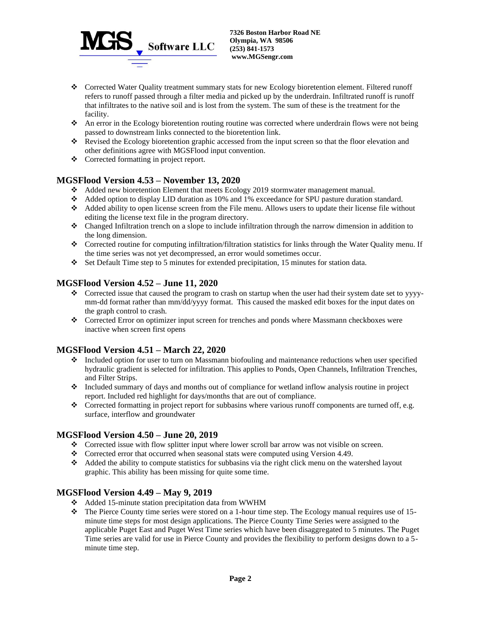

- ❖ Corrected Water Quality treatment summary stats for new Ecology bioretention element. Filtered runoff refers to runoff passed through a filter media and picked up by the underdrain. Infiltrated runoff is runoff that infiltrates to the native soil and is lost from the system. The sum of these is the treatment for the facility.
- ❖ An error in the Ecology bioretention routing routine was corrected where underdrain flows were not being passed to downstream links connected to the bioretention link.
- ❖ Revised the Ecology bioretention graphic accessed from the input screen so that the floor elevation and other definitions agree with MGSFlood input convention.
- ❖ Corrected formatting in project report.

## **MGSFlood Version 4.53 – November 13, 2020**

- ❖ Added new bioretention Element that meets Ecology 2019 stormwater management manual.
- ❖ Added option to display LID duration as 10% and 1% exceedance for SPU pasture duration standard.
- ❖ Added ability to open license screen from the File menu. Allows users to update their license file without editing the license text file in the program directory.
- ❖ Changed Infiltration trench on a slope to include infiltration through the narrow dimension in addition to the long dimension.
- ❖ Corrected routine for computing infiltration/filtration statistics for links through the Water Quality menu. If the time series was not yet decompressed, an error would sometimes occur.
- ❖ Set Default Time step to 5 minutes for extended precipitation, 15 minutes for station data.

### **MGSFlood Version 4.52 – June 11, 2020**

- ❖ Corrected issue that caused the program to crash on startup when the user had their system date set to yyyymm-dd format rather than mm/dd/yyyy format. This caused the masked edit boxes for the input dates on the graph control to crash.
- ❖ Corrected Error on optimizer input screen for trenches and ponds where Massmann checkboxes were inactive when screen first opens

### **MGSFlood Version 4.51 – March 22, 2020**

- ❖ Included option for user to turn on Massmann biofouling and maintenance reductions when user specified hydraulic gradient is selected for infiltration. This applies to Ponds, Open Channels, Infiltration Trenches, and Filter Strips.
- ❖ Included summary of days and months out of compliance for wetland inflow analysis routine in project report. Included red highlight for days/months that are out of compliance.
- ❖ Corrected formatting in project report for subbasins where various runoff components are turned off, e.g. surface, interflow and groundwater

#### **MGSFlood Version 4.50 – June 20, 2019**

- ❖ Corrected issue with flow splitter input where lower scroll bar arrow was not visible on screen.
- $\bullet$  Corrected error that occurred when seasonal stats were computed using Version 4.49.
- ❖ Added the ability to compute statistics for subbasins via the right click menu on the watershed layout graphic. This ability has been missing for quite some time.

#### **MGSFlood Version 4.49 – May 9, 2019**

- ❖ Added 15-minute station precipitation data from WWHM
- $\bullet$  The Pierce County time series were stored on a 1-hour time step. The Ecology manual requires use of 15minute time steps for most design applications. The Pierce County Time Series were assigned to the applicable Puget East and Puget West Time series which have been disaggregated to 5 minutes. The Puget Time series are valid for use in Pierce County and provides the flexibility to perform designs down to a 5 minute time step.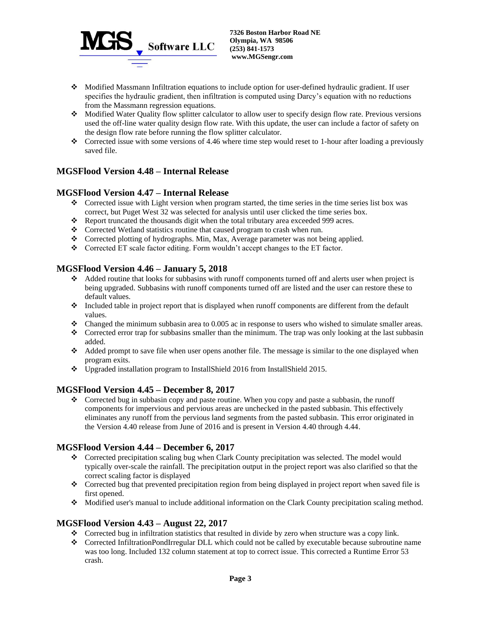

- ❖ Modified Massmann Infiltration equations to include option for user-defined hydraulic gradient. If user specifies the hydraulic gradient, then infiltration is computed using Darcy's equation with no reductions from the Massmann regression equations.
- ❖ Modified Water Quality flow splitter calculator to allow user to specify design flow rate. Previous versions used the off-line water quality design flow rate. With this update, the user can include a factor of safety on the design flow rate before running the flow splitter calculator.
- ❖ Corrected issue with some versions of 4.46 where time step would reset to 1-hour after loading a previously saved file.

# **MGSFlood Version 4.48 – Internal Release**

## **MGSFlood Version 4.47 – Internal Release**

- ❖ Corrected issue with Light version when program started, the time series in the time series list box was correct, but Puget West 32 was selected for analysis until user clicked the time series box.
- ❖ Report truncated the thousands digit when the total tributary area exceeded 999 acres.
- ❖ Corrected Wetland statistics routine that caused program to crash when run.
- ❖ Corrected plotting of hydrographs. Min, Max, Average parameter was not being applied.
- ❖ Corrected ET scale factor editing. Form wouldn't accept changes to the ET factor.

## **MGSFlood Version 4.46 – January 5, 2018**

- ❖ Added routine that looks for subbasins with runoff components turned off and alerts user when project is being upgraded. Subbasins with runoff components turned off are listed and the user can restore these to default values.
- ❖ Included table in project report that is displayed when runoff components are different from the default values.
- ❖ Changed the minimum subbasin area to 0.005 ac in response to users who wished to simulate smaller areas.
- ❖ Corrected error trap for subbasins smaller than the minimum. The trap was only looking at the last subbasin added.
- ❖ Added prompt to save file when user opens another file. The message is similar to the one displayed when program exits.
- ❖ Upgraded installation program to InstallShield 2016 from InstallShield 2015.

### **MGSFlood Version 4.45 – December 8, 2017**

❖ Corrected bug in subbasin copy and paste routine. When you copy and paste a subbasin, the runoff components for impervious and pervious areas are unchecked in the pasted subbasin. This effectively eliminates any runoff from the pervious land segments from the pasted subbasin. This error originated in the Version 4.40 release from June of 2016 and is present in Version 4.40 through 4.44.

## **MGSFlood Version 4.44 – December 6, 2017**

- ❖ Corrected precipitation scaling bug when Clark County precipitation was selected. The model would typically over-scale the rainfall. The precipitation output in the project report was also clarified so that the correct scaling factor is displayed
- ❖ Corrected bug that prevented precipitation region from being displayed in project report when saved file is first opened.
- ❖ Modified user's manual to include additional information on the Clark County precipitation scaling method.

## **MGSFlood Version 4.43 – August 22, 2017**

- ❖ Corrected bug in infiltration statistics that resulted in divide by zero when structure was a copy link.
- ❖ Corrected InfiltrationPondIrregular DLL which could not be called by executable because subroutine name was too long. Included 132 column statement at top to correct issue. This corrected a Runtime Error 53 crash.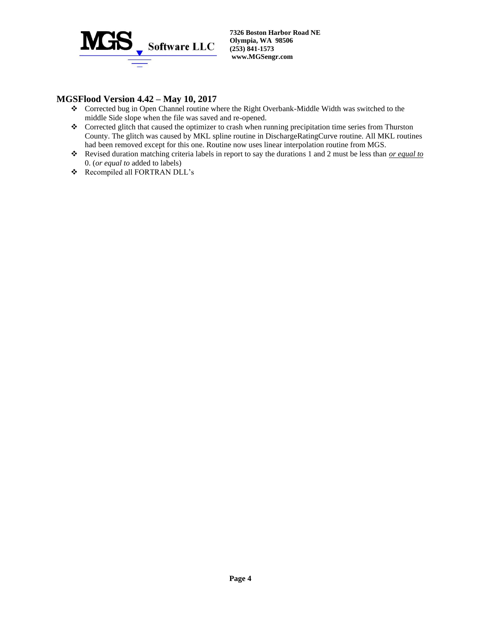

## **MGSFlood Version 4.42 – May 10, 2017**

- ❖ Corrected bug in Open Channel routine where the Right Overbank-Middle Width was switched to the middle Side slope when the file was saved and re-opened.
- ❖ Corrected glitch that caused the optimizer to crash when running precipitation time series from Thurston County. The glitch was caused by MKL spline routine in DischargeRatingCurve routine. All MKL routines had been removed except for this one. Routine now uses linear interpolation routine from MGS.
- ❖ Revised duration matching criteria labels in report to say the durations 1 and 2 must be less than *or equal to* 0. (*or equal to* added to labels)
- ❖ Recompiled all FORTRAN DLL's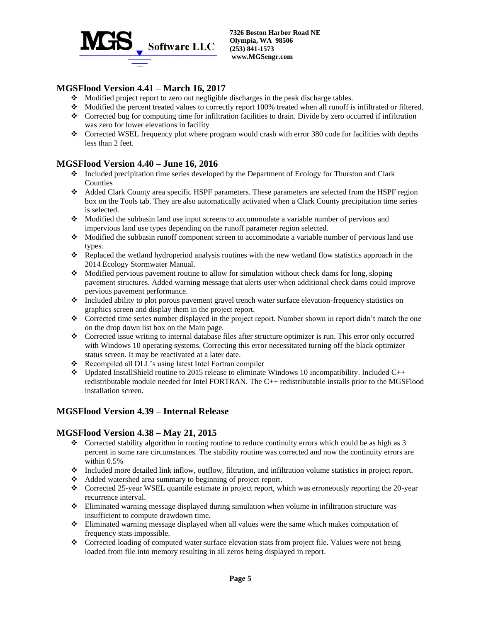

## **MGSFlood Version 4.41 – March 16, 2017**

- ❖ Modified project report to zero out negligible discharges in the peak discharge tables.
- ❖ Modified the percent treated values to correctly report 100% treated when all runoff is infiltrated or filtered.
- ❖ Corrected bug for computing time for infiltration facilities to drain. Divide by zero occurred if infiltration was zero for lower elevations in facility
- ❖ Corrected WSEL frequency plot where program would crash with error 380 code for facilities with depths less than 2 feet.

### **MGSFlood Version 4.40 – June 16, 2016**

- ❖ Included precipitation time series developed by the Department of Ecology for Thurston and Clark Counties
- ❖ Added Clark County area specific HSPF parameters. These parameters are selected from the HSPF region box on the Tools tab. They are also automatically activated when a Clark County precipitation time series is selected.
- ❖ Modified the subbasin land use input screens to accommodate a variable number of pervious and impervious land use types depending on the runoff parameter region selected.
- ❖ Modified the subbasin runoff component screen to accommodate a variable number of pervious land use types.
- ❖ Replaced the wetland hydroperiod analysis routines with the new wetland flow statistics approach in the 2014 Ecology Stormwater Manual.
- ❖ Modified pervious pavement routine to allow for simulation without check dams for long, sloping pavement structures. Added warning message that alerts user when additional check dams could improve pervious pavement performance.
- ❖ Included ability to plot porous pavement gravel trench water surface elevation-frequency statistics on graphics screen and display them in the project report.
- ❖ Corrected time series number displayed in the project report. Number shown in report didn't match the one on the drop down list box on the Main page.
- ❖ Corrected issue writing to internal database files after structure optimizer is run. This error only occurred with Windows 10 operating systems. Correcting this error necessitated turning off the black optimizer status screen. It may be reactivated at a later date.
- ❖ Recompiled all DLL's using latest Intel Fortran compiler
- ❖ Updated InstallShield routine to 2015 release to eliminate Windows 10 incompatibility. Included C++ redistributable module needed for Intel FORTRAN. The C++ redistributable installs prior to the MGSFlood installation screen.

## **MGSFlood Version 4.39 – Internal Release**

#### **MGSFlood Version 4.38 – May 21, 2015**

- ❖ Corrected stability algorithm in routing routine to reduce continuity errors which could be as high as 3 percent in some rare circumstances. The stability routine was corrected and now the continuity errors are within 0.5%
- ❖ Included more detailed link inflow, outflow, filtration, and infiltration volume statistics in project report.
- ❖ Added watershed area summary to beginning of project report.
- ❖ Corrected 25-year WSEL quantile estimate in project report, which was erroneously reporting the 20-year recurrence interval.
- ❖ Eliminated warning message displayed during simulation when volume in infiltration structure was insufficient to compute drawdown time.
- ❖ Eliminated warning message displayed when all values were the same which makes computation of frequency stats impossible.
- ❖ Corrected loading of computed water surface elevation stats from project file. Values were not being loaded from file into memory resulting in all zeros being displayed in report.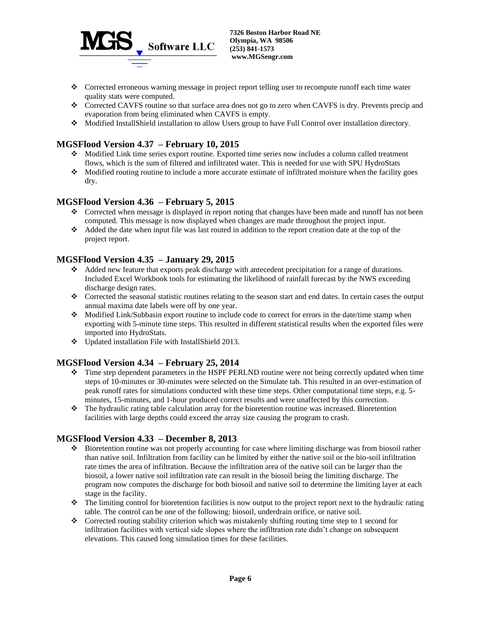

- ❖ Corrected erroneous warning message in project report telling user to recompute runoff each time water quality stats were computed.
- ❖ Corrected CAVFS routine so that surface area does not go to zero when CAVFS is dry. Prevents precip and evaporation from being eliminated when CAVFS is empty.
- ❖ Modified InstallShield installation to allow Users group to have Full Control over installation directory.

## **MGSFlood Version 4.37 – February 10, 2015**

- ❖ Modified Link time series export routine. Exported time series now includes a column called treatment flows, which is the sum of filtered and infiltrated water. This is needed for use with SPU HydroStats
- ❖ Modified routing routine to include a more accurate estimate of infiltrated moisture when the facility goes dry.

## **MGSFlood Version 4.36 – February 5, 2015**

- ❖ Corrected when message is displayed in report noting that changes have been made and runoff has not been computed. This message is now displayed when changes are made throughout the project input.
- ❖ Added the date when input file was last routed in addition to the report creation date at the top of the project report.

### **MGSFlood Version 4.35 – January 29, 2015**

- ❖ Added new feature that exports peak discharge with antecedent precipitation for a range of durations. Included Excel Workbook tools for estimating the likelihood of rainfall forecast by the NWS exceeding discharge design rates.
- ❖ Corrected the seasonal statistic routines relating to the season start and end dates. In certain cases the output annual maxima date labels were off by one year.
- ❖ Modified Link/Subbasin export routine to include code to correct for errors in the date/time stamp when exporting with 5-minute time steps. This resulted in different statistical results when the exported files were imported into HydroStats.
- ❖ Updated installation File with InstallShield 2013.

### **MGSFlood Version 4.34 – February 25, 2014**

- ❖ Time step dependent parameters in the HSPF PERLND routine were not being correctly updated when time steps of 10-minutes or 30-minutes were selected on the Simulate tab. This resulted in an over-estimation of peak runoff rates for simulations conducted with these time steps. Other computational time steps, e.g. 5 minutes, 15-minutes, and 1-hour produced correct results and were unaffected by this correction.
- ❖ The hydraulic rating table calculation array for the bioretention routine was increased. Bioretention facilities with large depths could exceed the array size causing the program to crash.

### **MGSFlood Version 4.33 – December 8, 2013**

- ❖ Bioretention routine was not properly accounting for case where limiting discharge was from biosoil rather than native soil. Infiltration from facility can be limited by either the native soil or the bio-soil infiltration rate times the area of infiltration. Because the infiltration area of the native soil can be larger than the biosoil, a lower native soil infiltration rate can result in the biosoil being the limiting discharge. The program now computes the discharge for both biosoil and native soil to determine the limiting layer at each stage in the facility.
- ❖ The limiting control for bioretention facilities is now output to the project report next to the hydraulic rating table. The control can be one of the following: biosoil, underdrain orifice, or native soil.
- $\bullet$  Corrected routing stability criterion which was mistakenly shifting routing time step to 1 second for infiltration facilities with vertical side slopes where the infiltration rate didn't change on subsequent elevations. This caused long simulation times for these facilities.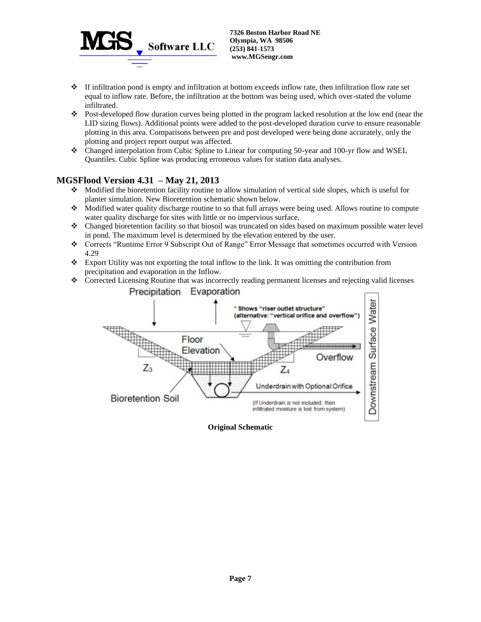

- ❖ If infiltration pond is empty and infiltration at bottom exceeds inflow rate, then infiltration flow rate set equal to inflow rate. Before, the infiltration at the bottom was being used, which over-stated the volume infiltrated.
- ❖ Post-developed flow duration curves being plotted in the program lacked resolution at the low end (near the LID sizing flows). Additional points were added to the post-developed duration curve to ensure reasonable plotting in this area. Comparisons between pre and post developed were being done accurately, only the plotting and project report output was affected.
- ❖ Changed interpolation from Cubic Spline to Linear for computing 50-year and 100-yr flow and WSEL Quantiles. Cubic Spline was producing erroneous values for station data analyses.

## **MGSFlood Version 4.31 – May 21, 2013**

- ❖ Modified the bioretention facility routine to allow simulation of vertical side slopes, which is useful for planter simulation. New Bioretention schematic shown below.
- ❖ Modified water quality discharge routine to so that full arrays were being used. Allows routine to compute water quality discharge for sites with little or no impervious surface.
- ❖ Changed bioretention facility so that biosoil was truncated on sides based on maximum possible water level in pond. The maximum level is determined by the elevation entered by the user.
- ❖ Corrects "Runtime Error 9 Subscript Out of Range" Error Message that sometimes occurred with Version 4.29
- ❖ Export Utility was not exporting the total inflow to the link. It was omitting the contribution from precipitation and evaporation in the Inflow.
- ❖ Corrected Licensing Routine that was incorrectly reading permanent licenses and rejecting valid licenses Precipitation Evaporation



**Original Schematic**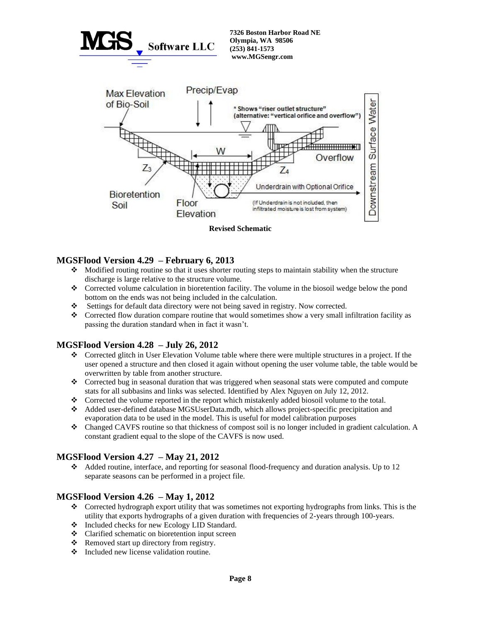

### **MGSFlood Version 4.29 – February 6, 2013**

- ❖ Modified routing routine so that it uses shorter routing steps to maintain stability when the structure discharge is large relative to the structure volume.
- ❖ Corrected volume calculation in bioretention facility. The volume in the biosoil wedge below the pond bottom on the ends was not being included in the calculation.
- ❖ Settings for default data directory were not being saved in registry. Now corrected.
- ❖ Corrected flow duration compare routine that would sometimes show a very small infiltration facility as passing the duration standard when in fact it wasn't.

### **MGSFlood Version 4.28 – July 26, 2012**

- ❖ Corrected glitch in User Elevation Volume table where there were multiple structures in a project. If the user opened a structure and then closed it again without opening the user volume table, the table would be overwritten by table from another structure.
- ❖ Corrected bug in seasonal duration that was triggered when seasonal stats were computed and compute stats for all subbasins and links was selected. Identified by Alex Nguyen on July 12, 2012.
- ❖ Corrected the volume reported in the report which mistakenly added biosoil volume to the total.
- ❖ Added user-defined database MGSUserData.mdb, which allows project-specific precipitation and evaporation data to be used in the model. This is useful for model calibration purposes
- ❖ Changed CAVFS routine so that thickness of compost soil is no longer included in gradient calculation. A constant gradient equal to the slope of the CAVFS is now used.

### **MGSFlood Version 4.27 – May 21, 2012**

❖ Added routine, interface, and reporting for seasonal flood-frequency and duration analysis. Up to 12 separate seasons can be performed in a project file.

### **MGSFlood Version 4.26 – May 1, 2012**

- ❖ Corrected hydrograph export utility that was sometimes not exporting hydrographs from links. This is the utility that exports hydrographs of a given duration with frequencies of 2-years through 100-years.
- ❖ Included checks for new Ecology LID Standard.
- ❖ Clarified schematic on bioretention input screen
- ❖ Removed start up directory from registry.
- ❖ Included new license validation routine.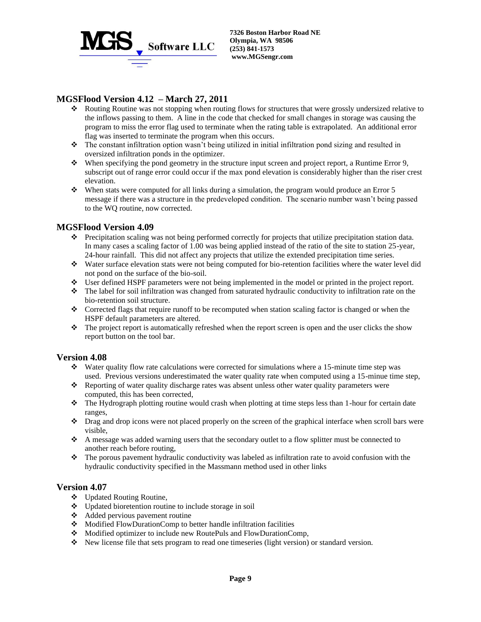

## **MGSFlood Version 4.12 – March 27, 2011**

- ❖ Routing Routine was not stopping when routing flows for structures that were grossly undersized relative to the inflows passing to them. A line in the code that checked for small changes in storage was causing the program to miss the error flag used to terminate when the rating table is extrapolated. An additional error flag was inserted to terminate the program when this occurs.
- ❖ The constant infiltration option wasn't being utilized in initial infiltration pond sizing and resulted in oversized infiltration ponds in the optimizer.
- ❖ When specifying the pond geometry in the structure input screen and project report, a Runtime Error 9, subscript out of range error could occur if the max pond elevation is considerably higher than the riser crest elevation.
- ❖ When stats were computed for all links during a simulation, the program would produce an Error 5 message if there was a structure in the predeveloped condition. The scenario number wasn't being passed to the WQ routine, now corrected.

#### **MGSFlood Version 4.09**

- ❖ Precipitation scaling was not being performed correctly for projects that utilize precipitation station data. In many cases a scaling factor of 1.00 was being applied instead of the ratio of the site to station 25-year, 24-hour rainfall. This did not affect any projects that utilize the extended precipitation time series.
- ❖ Water surface elevation stats were not being computed for bio-retention facilities where the water level did not pond on the surface of the bio-soil.
- ❖ User defined HSPF parameters were not being implemented in the model or printed in the project report.
- ❖ The label for soil infiltration was changed from saturated hydraulic conductivity to infiltration rate on the bio-retention soil structure.
- ❖ Corrected flags that require runoff to be recomputed when station scaling factor is changed or when the HSPF default parameters are altered.
- ❖ The project report is automatically refreshed when the report screen is open and the user clicks the show report button on the tool bar.

#### **Version 4.08**

- ❖ Water quality flow rate calculations were corrected for simulations where a 15-minute time step was used. Previous versions underestimated the water quality rate when computed using a 15-minue time step,
- ❖ Reporting of water quality discharge rates was absent unless other water quality parameters were computed, this has been corrected,
- ❖ The Hydrograph plotting routine would crash when plotting at time steps less than 1-hour for certain date ranges,
- ❖ Drag and drop icons were not placed properly on the screen of the graphical interface when scroll bars were visible,
- ❖ A message was added warning users that the secondary outlet to a flow splitter must be connected to another reach before routing,
- ❖ The porous pavement hydraulic conductivity was labeled as infiltration rate to avoid confusion with the hydraulic conductivity specified in the Massmann method used in other links

### **Version 4.07**

- ❖ Updated Routing Routine,
- ❖ Updated bioretention routine to include storage in soil
- ❖ Added pervious pavement routine
- ❖ Modified FlowDurationComp to better handle infiltration facilities
- ❖ Modified optimizer to include new RoutePuls and FlowDurationComp,
- ❖ New license file that sets program to read one timeseries (light version) or standard version.